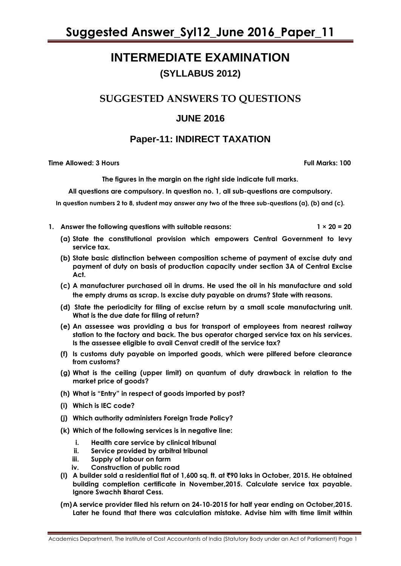### **INTERMEDIATE EXAMINATION (SYLLABUS 2012)**

### **SUGGESTED ANSWERS TO QUESTIONS**

### **JUNE 2016**

### **Paper-11: INDIRECT TAXATION**

**Time Allowed: 3 Hours Full Marks: 100**

**The figures in the margin on the right side indicate full marks.** 

**All questions are compulsory. In question no. 1, all sub-questions are compulsory.**

**In question numbers 2 to 8, student may answer any two of the three sub-questions (a), (b) and (c).**

- **1. Answer the following questions with suitable reasons: 1 × 20 = 20**
	- **(a) State the constitutional provision which empowers Central Government to levy service tax.**
	- **(b) State basic distinction between composition scheme of payment of excise duty and payment of duty on basis of production capacity under section 3A of Central Excise Act.**
	- **(c) A manufacturer purchased oil in drums. He used the oil in his manufacture and sold the empty drums as scrap. Is excise duty payable on drums? State with reasons.**
	- **(d) State the periodicity for filing of excise return by a small scale manufacturing unit. What is the due date for filing of return?**
	- **(e) An assessee was providing a bus for transport of employees from nearest railway station to the factory and back. The bus operator charged service tax on his services. Is the assessee eligible to avail Cenvat credit of the service tax?**
	- **(f) Is customs duty payable on imported goods, which were pilfered before clearance from customs?**
	- **(g) What is the ceiling (upper limit) on quantum of duty drawback in relation to the market price of goods?**
	- **(h) What is "Entry" in respect of goods imported by post?**
	- **(i) Which is IEC code?**
	- **(j) Which authority administers Foreign Trade Policy?**
	- **(k) Which of the following services is in negative line:**
		- **i. Health care service by clinical tribunal**
		- **ii. Service provided by arbitral tribunal**
		- **iii. Supply of labour on farm**
		- **iv. Construction of public road**
	- **(l) A builder sold a residential flat of 1,600 sq. ft. at** `**90 laks in October, 2015. He obtained building completion certificate in November,2015. Calculate service tax payable. Ignore Swachh Bharat Cess.**
	- **(m)A service provider filed his return on 24-10-2015 for half year ending on October,2015. Later he found that there was calculation mistake. Advise him with time limit within**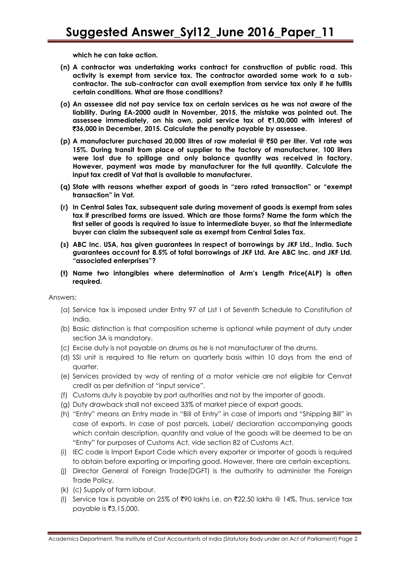**which he can take action.**

- **(n) A contractor was undertaking works contract for construction of public road. This activity is exempt from service tax. The contractor awarded some work to a subcontractor. The sub-contractor can avail exemption from service tax only if he fulfils certain conditions. What are those conditions?**
- **(o) An assessee did not pay service tax on certain services as he was not aware of the liability. During EA-2000 audit in November, 2015, the mistake was pointed out. The assessee immediately, on his own, paid service tax of** `**1,00,000 with interest of**  `**36,000 in December, 2015. Calculate the penalty payable by assessee.**
- **(p) A manufacturer purchased 20,000 litres of raw material @** `**50 per liter. Vat rate was 15%. During transit from place of supplier to the factory of manufacturer, 100 liters were lost due to spillage and only balance quantity was received in factory. However, payment was made by manufacturer for the full quantity. Calculate the input tax credit of Vat that is available to manufacturer.**
- **(q) State with reasons whether export of goods in "zero rated transaction" or "exempt transaction" in Vat.**
- **(r) In Central Sales Tax, subsequent sale during movement of goods is exempt from sales tax if prescribed forms are issued. Which are those forms? Name the form which the first seller of goods is required to issue to intermediate buyer, so that the intermediate buyer can claim the subsequent sale as exempt from Central Sales Tax.**
- **(s) ABC Inc. USA, has given guarantees in respect of borrowings by JKF Ltd., India. Such guarantees account for 8.5% of total borrowings of JKF Ltd. Are ABC Inc. and JKF Ltd. "associated enterprises"?**
- **(t) Name two intangibles where determination of Arm's Length Price(ALP) is often required.**

Answers:

- (a) Service tax is imposed under Entry 97 of List I of Seventh Schedule to Constitution of India.
- (b) Basic distinction is that composition scheme is optional while payment of duty under section 3A is mandatory.
- (c) Excise duty is not payable on drums as he is not manufacturer of the drums.
- (d) SSI unit is required to file return on quarterly basis within 10 days from the end of quarter.
- (e) Services provided by way of renting of a motor vehicle are not eligible for Cenvat credit as per definition of "input service".
- (f) Customs duty is payable by port authorities and not by the importer of goods.
- (g) Duty drawback shall not exceed 33% of market piece of export goods.
- (h) "Entry" means an Entry made in "Bill of Entry" in case of imports and "Shipping Bill" in case of exports. In case of post parcels, Label/ declaration accompanying goods which contain description, quantity and value of the goods will be deemed to be an "Entry" for purposes of Customs Act, vide section 82 of Customs Act.
- (i) IEC code is Import Export Code which every exporter or importer of goods is required to obtain before exporting or importing good. However, there are certain exceptions.
- (j) Director General of Foreign Trade(DGFT) is the authority to administer the Foreign Trade Policy.
- (k) (c) Supply of farm labour.
- (I) Service tax is payable on 25% of ₹90 lakhs i.e. on ₹22.50 lakhs @ 14%. Thus, service tax payable is ₹3,15,000.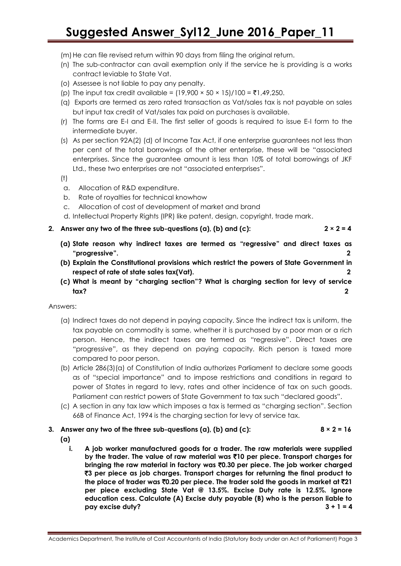- (m) He can file revised return within 90 days from filing the original return.
- (n) The sub-contractor can avail exemption only if the service he is providing is a works contract leviable to State Vat.
- (o) Assessee is not liable to pay any penalty.
- (p) The input tax credit available =  $(19,900 \times 50 \times 15)/100 = \text{\textdegree}1,49,250.$
- (q) Exports are termed as zero rated transaction as Vat/sales tax is not payable on sales but input tax credit of Vat/sales tax paid on purchases is available.
- (r) The forms are E-I and E-II. The first seller of goods is required to issue E-I form to the intermediate buyer.
- (s) As per section 92A(2) (d) of Income Tax Act, if one enterprise guarantees not less than per cent of the total borrowings of the other enterprise, these will be "associated enterprises. Since the guarantee amount is less than 10% of total borrowings of JKF Ltd., these two enterprises are not "associated enterprises".
- (t)
- a. Allocation of R&D expenditure.
- b. Rate of royalties for technical knowhow
- c. Allocation of cost of development of market and brand
- d. Intellectual Property Rights (IPR) like patent, design, copyright, trade mark.
- **2.** Answer any two of the three sub-questions (a), (b) and (c):  $2 \times 2 = 4$

- **(a) State reason why indirect taxes are termed as "regressive" and direct taxes as "progressive". 2**
- **(b) Explain the Constitutional provisions which restrict the powers of State Government in respect of rate of state sales tax(Vat). 2**
- **(c) What is meant by "charging section"? What is charging section for levy of service tax? 2**

Answers:

- (a) Indirect taxes do not depend in paying capacity. Since the indirect tax is uniform, the tax payable on commodity is same, whether it is purchased by a poor man or a rich person. Hence, the indirect taxes are termed as "regressive". Direct taxes are "progressive", as they depend on paying capacity. Rich person is taxed more compared to poor person.
- (b) Article 286(3)(a) of Constitution of India authorizes Parliament to declare some goods as of "special importance" and to impose restrictions and conditions in regard to power of States in regard to levy, rates and other incidence of tax on such goods. Parliament can restrict powers of State Government to tax such "declared goods".
- (c) A section in any tax law which imposes a tax is termed as "charging section". Section 66B of Finance Act, 1994 is the charging section for levy of service tax.

#### **3.** Answer any two of the three sub-questions (a), (b) and (c):  $8 \times 2 = 16$ **(a)**

**i. A job worker manufactured goods for a trader. The raw materials were supplied by the trader. The value of raw material was** `**10 per piece. Transport charges for bringing the raw material in factory was** `**0.30 per piece. The job worker charged**  `**3 per piece as job charges. Transport charges for returning the final product to the place of trader was** `**0.20 per piece. The trader sold the goods in market at** `**21 per piece excluding State Vat @ 13.5%. Excise Duty rate is 12.5%. Ignore education cess. Calculate (A) Excise duty payable (B) who is the person liable to pay excise duty? 3 + 1 = 4**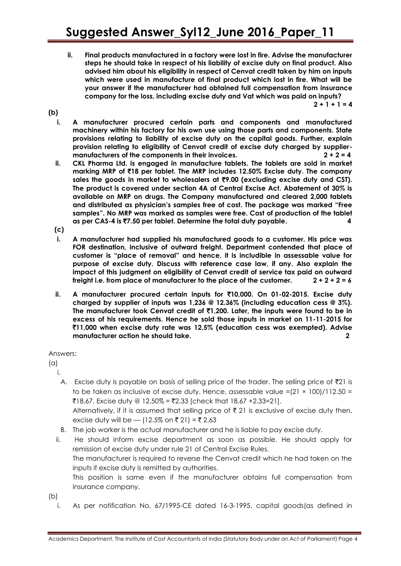- **ii. Final products manufactured in a factory were lost in fire. Advise the manufacturer steps he should take in respect of his liability of excise duty on final product. Also advised him about his eligibility in respect of Cenvat credit taken by him on inputs which were used in manufacture of final product which lost in fire. What will be your answer if the manufacturer had obtained full compensation from insurance company for the loss, including excise duty and Vat which was paid on inputs?**
- **(b)**

 $2 + 1 + 1 = 4$ 

- **i. A manufacturer procured certain parts and components and manufactured machinery within his factory for his own use using those parts and components. State provisions relating to liability of excise duty on the capital goods. Further, explain provision relating to eligibility of Cenvat credit of excise duty charged by suppliermanufacturers of the components in their invoices. 2 + 2 = 4**
- **ii. CKL Pharma Ltd. is engaged in manufacture tablets. The tablets are sold in market marking MRP of** `**18 per tablet. The MRP includes 12.50% Excise duty. The company**  sales the goods in market to wholesalers at ₹9.00 (excluding excise duty and CST). **The product is covered under section 4A of Central Excise Act. Abatement of 30% is available on MRP on drugs. The Company manufactured and cleared 2,000 tablets and distributed as physician's samples free of cost. The package was marked "Free samples". No MRP was marked as samples were free. Cost of production of the tablet as per CAS-4 is** `**7.50 per tablet. Determine the total duty payable. 4**
- **(c)**
- **i. A manufacturer had supplied his manufactured goods to a customer. His price was FOR destination, inclusive of outward freight. Department contended that place of customer is "place of removal" and hence, it is includible in assessable value for purpose of excise duty. Discuss with reference case law, if any. Also explain the impact of this judgment on eligibility of Cenvat credit of service tax paid on outward freight i.e. from place of manufacturer to the place of the customer. 2 + 2 + 2 = 6**
- **ii. A manufacturer procured certain inputs for** `**10,000. On 01-02-2015. Excise duty charged by supplier of inputs was 1,236 @ 12.36% (including education cess @ 3%). The manufacturer took Cenvat credit of** `**1,200. Later, the inputs were found to be in excess of his requirements. Hence he sold those inputs in market on 11-11-2015 for**  `**11,000 when excise duty rate was 12.5% (education cess was exempted). Advise manufacturer action he should take. 2**

#### Answers:

(a)

- i.
	- A. Excise duty is payable on basis of selling price of the trader. The selling price of  $\bar{z}$ 21 is to be taken as inclusive of excise duty. Hence, assessable value = $(21 \times 100)/112.50 =$ ₹18.67. Excise duty @ 12.50% = ₹2.33 [check that 18.67 +2.33=21].

Alternatively, if it is assumed that selling price of  $\bar{\tau}$  21 is exclusive of excise duty then, excise duty will be — (12.5% on ₹ 21) = ₹ 2.63

- B. The job worker is the actual manufacturer and he is liable to pay excise duty.
- ii. He should inform excise department as soon as possible. He should apply for remission of excise duty under rule 21 of Central Excise Rules. The manufacturer is required to reverse the Cenvat credit which he had taken on the inputs if excise duty is remitted by authorities. This position is same even if the manufacturer obtains full compensation from insurance company.
- (b)
	- i. As per notification No. 67/1995-CE dated 16-3-1995, capital goods(as defined in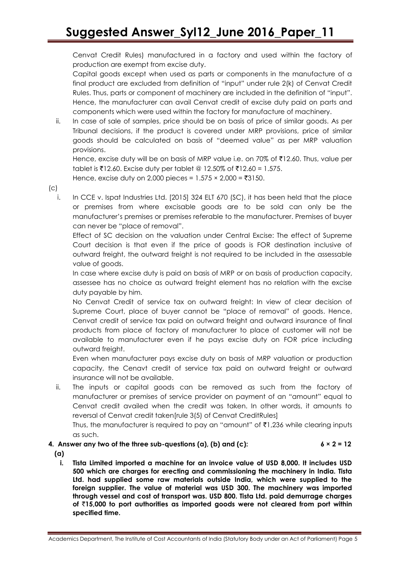Cenvat Credit Rules) manufactured in a factory and used within the factory of production are exempt from excise duty.

Capital goods except when used as parts or components in the manufacture of a final product are excluded from definition of "input" under rule 2(k) of Cenvat Credit Rules. Thus, parts or component of machinery are included in the definition of "input". Hence, the manufacturer can avail Cenvat credit of excise duty paid on parts and components which were used within the factory for manufacture of machinery.

ii. In case of sale of samples, price should be on basis of price of similar goods. As per Tribunal decisions, if the product is covered under MRP provisions, price of similar goods should be calculated on basis of "deemed value" as per MRP valuation provisions.

Hence, excise duty will be on basis of MRP value i.e. on 70% of  $\bar{\tau}$ 12.60. Thus, value per tablet is  $\overline{\xi}$ 12.60. Excise duty per tablet @ 12.50% of  $\overline{\xi}$ 12.60 = 1.575.

Hence, excise duty on 2,000 pieces =  $1.575 \times 2,000 = ₹3150$ .

#### $(c)$

i. In CCE v. Ispat Industries Ltd. [2015] 324 ELT 670 (SC), it has been held that the place or premises from where excisable goods are to be sold can only be the manufacturer's premises or premises referable to the manufacturer. Premises of buyer can never be "place of removal".

Effect of SC decision on the valuation under Central Excise: The effect of Supreme Court decision is that even if the price of goods is FOR destination inclusive of outward freight, the outward freight is not required to be included in the assessable value of goods.

In case where excise duty is paid on basis of MRP or on basis of production capacity, assessee has no choice as outward freight element has no relation with the excise duty payable by him.

No Cenvat Credit of service tax on outward freight: In view of clear decision of Supreme Court, place of buyer cannot be "place of removal" of goods. Hence, Cenvat credit of service tax paid on outward freight and outward insurance of final products from place of factory of manufacturer to place of customer will not be available to manufacturer even if he pays excise duty on FOR price including outward freight.

Even when manufacturer pays excise duty on basis of MRP valuation or production capacity, the Cenavt credit of service tax paid on outward freight or outward insurance will not be available.

ii. The inputs or capital goods can be removed as such from the factory of manufacturer or premises of service provider on payment of an "amount" equal to Cenvat credit availed when the credit was taken. In other words, it amounts to reversal of Cenvat credit taken[rule 3(5) of Cenvat CreditRules]

Thus, the manufacturer is required to pay an "amount" of  $\bar{\mathfrak{c}}$ 1,236 while clearing inputs as such.

#### **4. Answer any two of the three sub-questions (a), (b) and (c):**  $6 \times 2 = 12$

- **(a)**
	- **i. Tista Limited imported a machine for an invoice value of USD 8,000. It includes USD 500 which are charges for erecting and commissioning the machinery in India. Tista Ltd. had supplied some raw materials outside India, which were supplied to the foreign supplier. The value of material was USD 300. The machinery was imported through vessel and cost of transport was. USD 800. Tista Ltd. paid demurrage charges of** `**15,000 to port authorities as imported goods were not cleared from port within specified time.**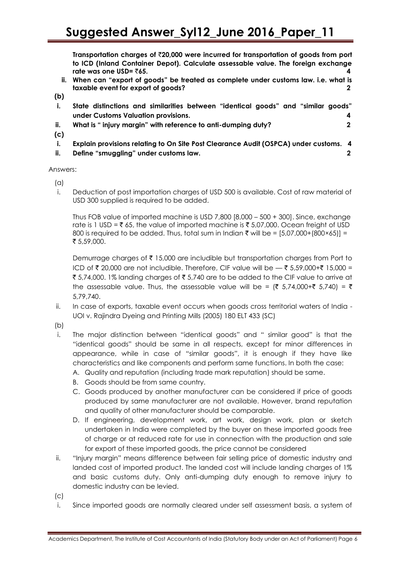**Transportation charges of** `**20,000 were incurred for transportation of goods from port to ICD (Inland Container Depot). Calculate assessable value. The foreign exchange rate was one USD=** `**65. 4**

- **ii. When can "export of goods" be treated as complete under customs law. i.e. what is taxable event for export of goods? 2**
- **(b)**
- **i. State distinctions and similarities between "identical goods" and "similar goods" under Customs Valuation provisions. 4**
- **ii. What is " injury margin" with reference to anti-dumping duty? 2**
- **(c)**
- **i. Explain provisions relating to On Site Post Clearance Audit (OSPCA) under customs. 4**
- **ii. Define "smuggling" under customs law. 2**

Answers:

- (a)
- i. Deduction of post importation charges of USD 500 is available. Cost of raw material of USD 300 supplied is required to be added.

Thus FOB value of imported machine is USD 7,800 [8,000 – 500 + 300]. Since, exchange rate is 1 USD =  $\overline{\xi}$  65, the value of imported machine is  $\overline{\xi}$  5,07,000. Ocean freight of USD 800 is required to be added. Thus, total sum in Indian  $\bar{\tau}$  will be = [5,07,000+(800×65)] = ₹ 5,59,000.

Demurrage charges of  $\bar{\tau}$  15,000 are includible but transportation charges from Port to ICD of ₹ 20,000 are not includible. Therefore, CIF value will be  $-$  ₹ 5,59,000+₹ 15,000 = ₹ 5,74,000. 1% landing charges of ₹ 5,740 are to be added to the CIF value to arrive at the assessable value. Thus, the assessable value will be =  $(8, 5, 74, 000 + 8, 5, 740) = 8$ 5,79,740.

ii. In case of exports, taxable event occurs when goods cross territorial waters of India - UOI v. Rajindra Dyeing and Printing Mills (2005) 180 ELT 433 (SC)

(b)

- i. The major distinction between "identical goods" and " similar good" is that the "identical goods" should be same in all respects, except for minor differences in appearance, while in case of "similar goods", it is enough if they have like characteristics and like components and perform same functions. In both the case:
	- A. Quality and reputation (including trade mark reputation) should be same.
	- B. Goods should be from same country.
	- C. Goods produced by another manufacturer can be considered if price of goods produced by same manufacturer are not available. However, brand reputation and quality of other manufacturer should be comparable.
	- D. If engineering, development work, art work, design work, plan or sketch undertaken in India were completed by the buyer on these imported goods free of charge or at reduced rate for use in connection with the production and sale for export of these imported goods, the price cannot be considered
- ii. "Injury margin" means difference between fair selling price of domestic industry and landed cost of imported product. The landed cost will include landing charges of 1% and basic customs duty. Only anti-dumping duty enough to remove injury to domestic industry can be levied.
- $(c)$
- i. Since imported goods are normally cleared under self assessment basis, a system of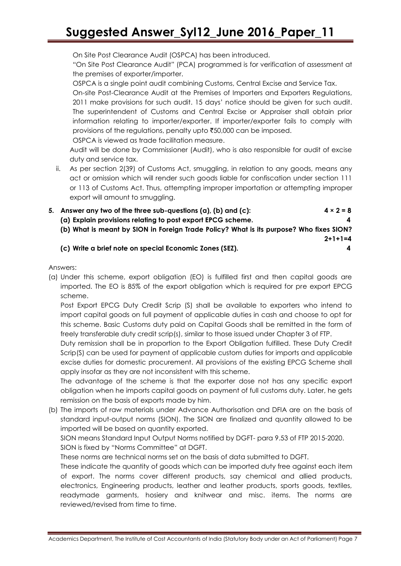On Site Post Clearance Audit (OSPCA) has been introduced.

"On Site Post Clearance Audit" (PCA) programmed is for verification of assessment at the premises of exporter/importer.

OSPCA is a single point audit combining Customs, Central Excise and Service Tax.

On-site Post-Clearance Audit at the Premises of Importers and Exporters Regulations, 2011 make provisions for such audit. 15 days' notice should be given for such audit. The superintendent of Customs and Central Excise or Appraiser shall obtain prior information relating to importer/exporter. If importer/exporter fails to comply with provisions of the regulations, penalty upto  $\overline{50,000}$  can be imposed.

OSPCA is viewed as trade facilitation measure.

Audit will be done by Commissioner (Audit), who is also responsible for audit of excise duty and service tax.

ii. As per section 2(39) of Customs Act, smuggling, in relation to any goods, means any act or omission which will render such goods liable for confiscation under section 111 or 113 of Customs Act. Thus, attempting improper importation or attempting improper export will amount to smuggling.

| 5. Answer any two of the three sub-questions (a), (b) and (c):                          | $4 \times 2 = 8$ |
|-----------------------------------------------------------------------------------------|------------------|
| (a) Explain provisions relating to post export EPCG scheme.                             | 4                |
| (b) What is meant by SION in Foreign Trade Policy? What is its purpose? Who fixes SION? |                  |
|                                                                                         | $2+1+1=4$        |

#### **(c) Write a brief note on special Economic Zones (SEZ). 4**

Answers:

(a) Under this scheme, export obligation (EO) is fulfilled first and then capital goods are imported. The EO is 85% of the export obligation which is required for pre export EPCG scheme.

Post Export EPCG Duty Credit Scrip (S) shall be available to exporters who intend to import capital goods on full payment of applicable duties in cash and choose to opt for this scheme. Basic Customs duty paid on Capital Goods shall be remitted in the form of freely transferable duty credit scrip(s), similar to those issued under Chapter 3 of FTP.

Duty remission shall be in proportion to the Export Obligation fulfilled. These Duty Credit Scrip(S) can be used for payment of applicable custom duties for imports and applicable excise duties for domestic procurement. All provisions of the existing EPCG Scheme shall apply insofar as they are not inconsistent with this scheme.

The advantage of the scheme is that the exporter dose not has any specific export obligation when he imports capital goods on payment of full customs duty. Later, he gets remission on the basis of exports made by him.

(b) The imports of raw materials under Advance Authorisation and DFIA are on the basis of standard input-output norms (SION). The SION are finalized and quantity allowed to be imported will be based on quantity exported.

SION means Standard Input Output Norms notified by DGFT- para 9.53 of FTP 2015-2020. SION is fixed by "Norms Committee" at DGFT.

These norms are technical norms set on the basis of data submitted to DGFT.

These indicate the quantity of goods which can be imported duty free against each item of export. The norms cover different products, say chemical and allied products, electronics, Engineering products, leather and leather products, sports goods, textiles, readymade garments, hosiery and knitwear and misc. items. The norms are reviewed/revised from time to time.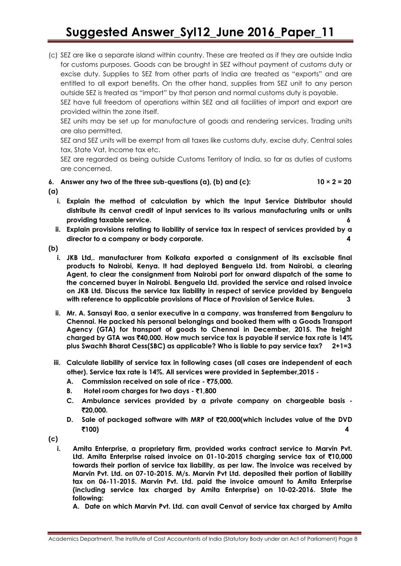(c) SEZ are like a separate island within country. These are treated as if they are outside India for customs purposes. Goods can be brought in SEZ without payment of customs duty or excise duty. Supplies to SEZ from other parts of India are treated as "exports" and are entitled to all export benefits. On the other hand, supplies from SEZ unit to any person outside SEZ is treated as "import" by that person and normal customs duty is payable.

SEZ have full freedom of operations within SEZ and all facilities of import and export are provided within the zone itself.

SEZ units may be set up for manufacture of goods and rendering services. Trading units are also permitted.

SEZ and SEZ units will be exempt from all taxes like customs duty, excise duty, Central sales tax, State Vat, Income tax etc.

SEZ are regarded as being outside Customs Territory of India, so far as duties of customs are concerned.

**6.** Answer any two of the three sub-questions (a), (b) and (c):  $10 \times 2 = 20$ 

**(a)**

- **i. Explain the method of calculation by which the Input Service Distributor should distribute its cenvat credit of input services to its various manufacturing units or units providing taxable service. 6**
- **ii. Explain provisions relating to liability of service tax in respect of services provided by a director to a company or body corporate. 4**
- **(b)**
	- **i. JKB Ltd,. manufacturer from Kolkata exported a consignment of its excisable final products to Nairobi, Kenya. It had deployed Benguela Ltd. from Nairobi, a clearing Agent, to clear the consignment from Nairobi port for onward dispatch of the same to the concerned buyer in Nairobi. Benguela Ltd. provided the service and raised invoice on JKB Ltd. Discuss the service tax liability in respect of service provided by Benguela with reference to applicable provisions of Place of Provision of Service Rules. 3**
	- **ii. Mr. A. Sansayi Rao, a senior executive in a company, was transferred from Bengaluru to Chennai. He packed his personal belongings and booked them with a Goods Transport Agency (GTA) for transport of goods to Chennai in December, 2015. The freight charged by GTA was** `**40,000. How much service tax is payable if service tax rate is 14% plus Swachh Bharat Cess(SBC) as applicable? Who is liable to pay service tax? 2+1=3**
	- **iii. Calculate liability of service tax in following cases (all cases are independent of each other). Service tax rate is 14%. All services were provided in September,2015 -**
		- **A. Commission received on sale of rice -** `**75,000.**
		- **B. Hotel room charges for two days ₹1,800**
		- **C. Ambulance services provided by a private company on chargeable basis -** `**20,000.**
		- **D. Sale of packaged software with MRP of** `**20,000(which includes value of the DVD**  `**100) 4**

**(c)**

- **i. Amita Enterprise, a proprietary firm, provided works contract service to Marvin Pvt. Ltd. Amita Enterprise raised invoice on 01-10-2015 charging service tax of** `**10,000 towards their portion of service tax liability, as per law. The invoice was received by Marvin Pvt. Ltd. on 07-10-2015. M/s. Marvin Pvt Ltd. deposited their portion of liability tax on 06-11-2015. Marvin Pvt. Ltd. paid the invoice amount to Amita Enterprise (including service tax charged by Amita Enterprise) on 10-02-2016. State the following:**
	- **A. Date on which Marvin Pvt. Ltd. can avail Cenvat of service tax charged by Amita**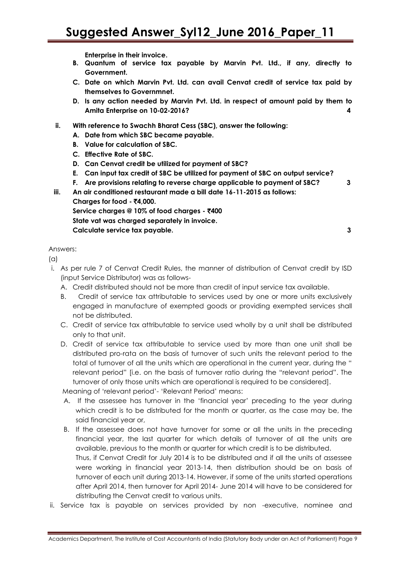**Enterprise in their invoice.**

- **B. Quantum of service tax payable by Marvin Pvt. Ltd., if any, directly to Government.**
- **C. Date on which Marvin Pvt. Ltd. can avail Cenvat credit of service tax paid by themselves to Governmnet.**
- **D. Is any action needed by Marvin Pvt. Ltd. in respect of amount paid by them to Amita Enterprise on 10-02-2016? 4**
- **ii. With reference to Swachh Bharat Cess (SBC), answer the following:**
	- **A. Date from which SBC became payable.**
	- **B. Value for calculation of SBC.**
	- **C. Effective Rate of SBC.**
	- **D. Can Cenvat credit be utilized for payment of SBC?**
	- **E. Can input tax credit of SBC be utilized for payment of SBC on output service?**
	- **F. Are provisions relating to reverse charge applicable to payment of SBC? 3**
- **iii. An air conditioned restaurant made a bill date 16-11-2015 as follows: Charges for food -** `**4,000. Service charges @ 10% of food charges -** `**400**

**State vat was charged separately in invoice. Calculate service tax payable. 3**

#### Answers:

 $(a)$ 

- i. As per rule 7 of Cenvat Credit Rules, the manner of distribution of Cenvat credit by ISD (input Service Distributor) was as follows-
	- A. Credit distributed should not be more than credit of input service tax available.
	- B. Credit of service tax attributable to services used by one or more units exclusively engaged in manufacture of exempted goods or providing exempted services shall not be distributed.
	- C. Credit of service tax attributable to service used wholly by a unit shall be distributed only to that unit.
	- D. Credit of service tax attributable to service used by more than one unit shall be distributed pro-rata on the basis of turnover of such units the relevant period to the total of turnover of all the units which are operational in the current year, during the " relevant period" [i.e. on the basis of turnover ratio during the "relevant period". The turnover of only those units which are operational is required to be considered].

Meaning of 'relevant period'- 'Relevant Period' means:

- A. If the assessee has turnover in the 'financial year' preceding to the year during which credit is to be distributed for the month or quarter, as the case may be, the said financial year or,
- B. If the assessee does not have turnover for some or all the units in the preceding financial year, the last quarter for which details of turnover of all the units are available, previous to the month or quarter for which credit is to be distributed. Thus, if Cenvat Credit for July 2014 is to be distributed and if all the units of assessee were working in financial year 2013-14, then distribution should be on basis of turnover of each unit during 2013-14. However, if some of the units started operations after April 2014, then turnover for April 2014- June 2014 will have to be considered for distributing the Cenvat credit to various units.
- ii. Service tax is payable on services provided by non -executive, nominee and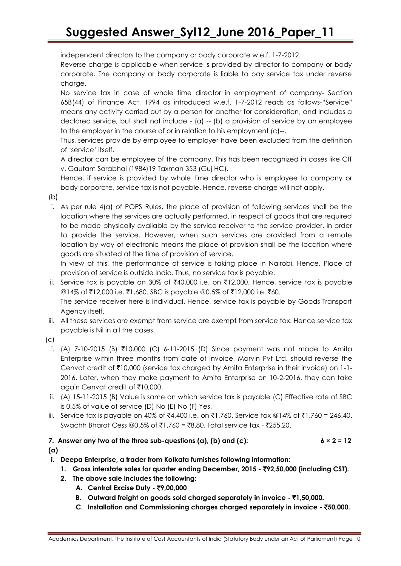independent directors to the company or body corporate w.e.f. 1-7-2012.

Reverse charge is applicable when service is provided by director to company or body corporate. The company or body corporate is liable to pay service tax under reverse charge.

No service tax in case of whole time director in employment of company- Section 65B(44) of Finance Act, 1994 as introduced w.e.f. 1-7-2012 reads as follows-"Service" means any activity carried out by a person for another for consideration, and includes a declared service, but shall not include  $-$  (a)  $-$  (b) a provision of service by an employee to the employer in the course of or in relation to his employment (c)--.

Thus, services provide by employee to employer have been excluded from the definition of 'service' itself.

A director can be employee of the company. This has been recognized in cases like CIT v. Gautam Sarabhai (1984)19 Taxman 353 (Guj HC).

Hence, if service is provided by whole time director who is employee to company or body corporate, service tax is not payable. Hence, reverse charge will not apply.

(b)

i. As per rule 4(a) of POPS Rules, the place of provision of following services shall be the location where the services are actually performed, in respect of goods that are required to be made physically available by the service receiver to the service provider, in order to provide the service. However, when such services are provided from a remote location by way of electronic means the place of provision shall be the location where goods are situated at the time of provision of service.

In view of this, the performance of service is taking place in Nairobi. Hence, Place of provision of service is outside India. Thus, no service tax is payable.

- ii. Service tax is payable on 30% of  $\text{\texttt{F40,000}}$  i.e. on  $\text{\texttt{F12,000}}$ . Hence, service tax is payable @14% of ₹12,000 i.e. ₹1,680. SBC is payable @0.5% of ₹12,000 i.e. ₹60. The service receiver here is individual. Hence, service tax is payable by Goods Transport Agency itself.
- iii. All these services are exempt from service are exempt from service tax. Hence service tax payable is Nil in all the cases.
- (c)
	- i. (A) 7-10-2015 (B) ₹10,000 (C) 6-11-2015 (D) Since payment was not made to Amita Enterprise within three months from date of invoice, Marvin Pvt Ltd. should reverse the Cenvat credit of ₹10,000 (service tax charged by Amita Enterprise in their invoice) on 1-1-2016. Later, when they make payment to Amita Enterprise on 10-2-2016, they can take again Cenvat credit of `10,000.
- ii. (A) 15-11-2015 (B) Value is same on which service tax is payable (C) Effective rate of SBC is 0.5% of value of service (D) No (E) No (F) Yes.
- iii. Service tax is payable on 40% of ₹4,400 i.e. on ₹1,760. Service tax @14% of ₹1,760 = 246.40. Swachh Bharat Cess @0.5% of ₹1,760 = ₹8.80. Total service tax - ₹255.20.
- 7. Answer any two of the three sub-questions (a), (b) and (c):  $6 \times 2 = 12$ **(a)**
- **i. Deepa Enterprise, a trader from Kolkata furnishes following information:**
	- **1. Gross interstate sales for quarter ending December, 2015 -** `**92,50,000 (including CST).**
	- **2. The above sale includes the following:**
		- **A. Central Excise Duty -** `**9,00,000**
		- **B.** Outward freight on goods sold charged separately in invoice ₹1,50,000.
		- **C. Installation and Commissioning charges charged separately in invoice -** `**50,000.**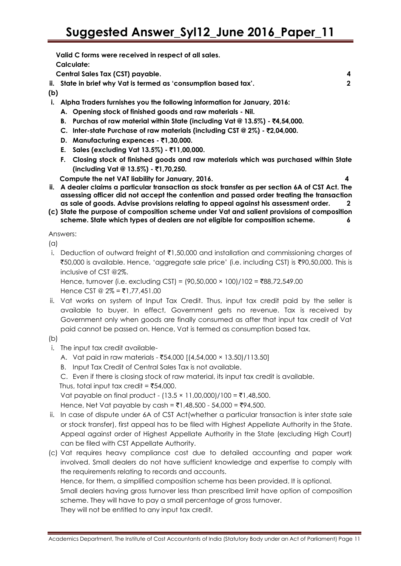|     | Valid C forms were received in respect of all sales.                        |                |
|-----|-----------------------------------------------------------------------------|----------------|
|     | Calculate:                                                                  |                |
|     | Central Sales Tax (CST) payable.                                            | 4              |
|     | ii. State in brief why Vat is termed as 'consumption based tax'.            | $\overline{2}$ |
| (b) |                                                                             |                |
|     | i. Alpha Traders furnishes you the following information for January, 2016: |                |

- **A. Opening stock of finished goods and raw materials - Nil.**
- **B.** Purchas of raw material within State (including Vat @ 13.5%) ₹4,54,000.
- **C. Inter-state Purchase of raw materials (including CST @ 2%) -** `**2,04,000.**
- **D.** Manufacturing expences ₹1,30,000.
- **E. Sales (excluding Vat 13.5%) -** `**11,00,000.**
- **F. Closing stock of finished goods and raw materials which was purchased within State (including Vat @ 13.5%) -** `**1,70,250.**

 **Compute the net VAT liability for January, 2016. 4**

- **ii. A dealer claims a particular transaction as stock transfer as per section 6A of CST Act. The assessing officer did not accept the contention and passed order treating the transaction as sale of goods. Advise provisions relating to appeal against his assessment order. 2**
- **(c) State the purpose of composition scheme under Vat and salient provisions of composition scheme. State which types of dealers are not eligible for composition scheme. 6**

Answers:

(a)

i. Deduction of outward freight of  $\bar{\mathfrak{e}}$ 1,50,000 and installation and commissioning charges of  $\overline{\xi}$ 50,000 is available. Hence, 'aggregate sale price' (i.e. including CST) is  $\overline{\xi}$ 90,50,000. This is inclusive of CST @2%.

Hence, turnover (i.e. excluding CST) =  $(90,50,000 \times 100)/102 = ₹88,72,549.00$ Hence CST @  $2\% = \text{\texte}1,77,451.00$ 

ii. Vat works on system of Input Tax Credit. Thus, input tax credit paid by the seller is available to buyer. In effect, Government gets no revenue. Tax is received by Government only when goods are finally consumed as after that input tax credit of Vat paid cannot be passed on. Hence, Vat is termed as consumption based tax.

#### (b)

- i. The input tax credit available-
	- A. Vat paid in raw materials  $\text{\textsterling}54,000$  [(4,54,000 × 13.50)/113.50]
	- B. Input Tax Credit of Central Sales Tax is not available.

C. Even if there is closing stock of raw material, its input tax credit is available.

Thus, total input tax credit =  $\overline{5}54,000$ .

Vat payable on final product -  $(13.5 \times 11,00,000)/100 = ₹1,48,500$ .

Hence, Net Vat payable by cash = ₹1,48,500 - 54,000 = ₹94,500.

- ii. In case of dispute under 6A of CST Act(whether a particular transaction is inter state sale or stock transfer), first appeal has to be filed with Highest Appellate Authority in the State. Appeal against order of Highest Appellate Authority in the State (excluding High Court) can be filed with CST Appellate Authority.
- (c) Vat requires heavy compliance cost due to detailed accounting and paper work involved. Small dealers do not have sufficient knowledge and expertise to comply with the requirements relating to records and accounts.

Hence, for them, a simplified composition scheme has been provided. It is optional.

Small dealers having gross turnover less than prescribed limit have option of composition scheme. They will have to pay a small percentage of gross turnover.

They will not be entitled to any input tax credit.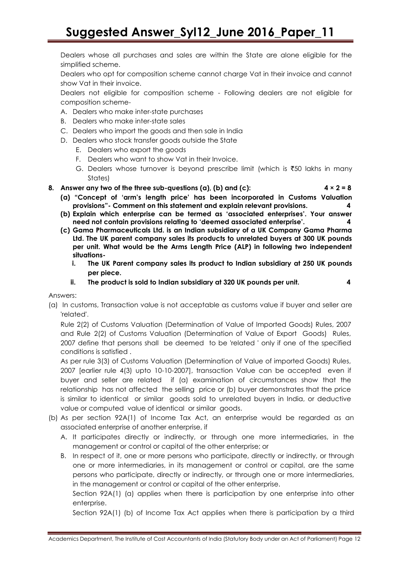Dealers whose all purchases and sales are within the State are alone eligible for the simplified scheme.

Dealers who opt for composition scheme cannot charge Vat in their invoice and cannot show Vat in their invoice.

Dealers not eligible for composition scheme - Following dealers are not eligible for composition scheme-

- A. Dealers who make inter-state purchases
- B. Dealers who make inter-state sales
- C. Dealers who import the goods and then sale in India
- D. Dealers who stock transfer goods outside the State
	- E. Dealers who export the goods
	- F. Dealers who want to show Vat in their Invoice.
	- G. Dealers whose turnover is beyond prescribe limit (which is  $\overline{50}$  lakhs in many States)
- **8.** Answer any two of the three sub-questions (a), (b) and (c):  $4 \times 2 = 8$ 
	- **(a) "Concept of 'arm's length price' has been incorporated in Customs Valuation provisions"- Comment on this statement and explain relevant provisions. 4**
	- **(b) Explain which enterprise can be termed as 'associated enterprises'. Your answer need not contain provisions relating to 'deemed associated enterprise'. 4**
	- **(c) Gama Pharmaceuticals Ltd. is an Indian subsidiary of a UK Company Gama Pharma Ltd. The UK parent company sales its products to unrelated buyers at 300 UK pounds per unit. What would be the Arms Length Price (ALP) in following two independent situations**
		- **i. The UK Parent company sales its product to Indian subsidiary at 250 UK pounds per piece.**
		- **ii. The product is sold to Indian subsidiary at 320 UK pounds per unit. 4**

Answers:

(a) In customs, Transaction value is not acceptable as customs value if buyer and seller are 'related'.

Rule 2(2) of Customs Valuation (Determination of Value of Imported Goods) Rules, 2007 and Rule 2(2) of Customs Valuation (Determination of Value of Export Goods) Rules, 2007 define that persons shall be deemed to be 'related ' only if one of the specified conditions is satisfied .

As per rule 3(3) of Customs Valuation (Determination of Value of imported Goods) Rules, 2007 [earlier rule 4(3) upto 10-10-2007], transaction Value can be accepted even if buyer and seller are related if (a) examination of circumstances show that the relationship has not affected the selling price or (b) buyer demonstrates that the price is similar to identical or similar goods sold to unrelated buyers in India, or deductive value or computed value of identical or similar goods.

- (b) As per section 92A(1) of Income Tax Act, an enterprise would be regarded as an associated enterprise of another enterprise, if
	- A. It participates directly or indirectly, or through one more intermediaries, in the management or control or capital of the other enterprise; or
	- B. In respect of it, one or more persons who participate, directly or indirectly, or through one or more intermediaries, in its management or control or capital, are the same persons who participate, directly or indirectly, or through one or more intermediaries, in the management or control or capital of the other enterprise.

Section 92A(1) (a) applies when there is participation by one enterprise into other enterprise.

Section 92A(1) (b) of Income Tax Act applies when there is participation by a third